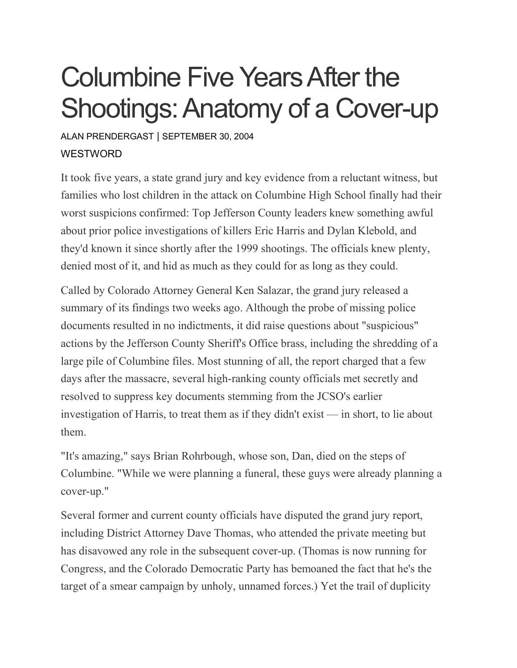## Columbine Five Years After the Shootings: Anatomy of a Cover-up

## ALAN [PRENDERGAST](https://www.westword.com/authors/alan-prendergast-5052731) | SEPTEMBER 30, 2004 **WESTWORD**

It took five years, a state grand jury and key evidence from a reluctant witness, but families who lost children in the attack on Columbine High School finally had their worst suspicions confirmed: Top Jefferson County leaders knew something awful about prior police investigations of killers Eric Harris and Dylan Klebold, and they'd known it since shortly after the 1999 shootings. The officials knew plenty, denied most of it, and hid as much as they could for as long as they could.

Called by Colorado Attorney General Ken Salazar, the grand jury released a summary of its findings two weeks ago. Although the probe of missing police documents resulted in no indictments, it did raise questions about "suspicious" actions by the Jefferson County Sheriff's Office brass, including the shredding of a large pile of Columbine files. Most stunning of all, the report charged that a few days after the massacre, several high-ranking county officials met secretly and resolved to suppress key documents stemming from the JCSO's earlier investigation of Harris, to treat them as if they didn't exist — in short, to lie about them.

"It's amazing," says Brian Rohrbough, whose son, Dan, died on the steps of Columbine. "While we were planning a funeral, these guys were already planning a cover-up."

Several former and current county officials have disputed the grand jury report, including District Attorney Dave Thomas, who attended the private meeting but has disavowed any role in the subsequent cover-up. (Thomas is now running for Congress, and the Colorado Democratic Party has bemoaned the fact that he's the target of a smear campaign by unholy, unnamed forces.) Yet the trail of duplicity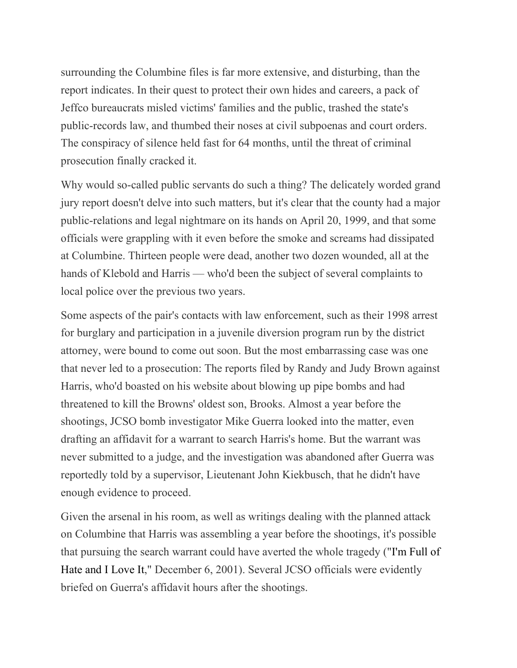surrounding the Columbine files is far more extensive, and disturbing, than the report indicates. In their quest to protect their own hides and careers, a pack of Jeffco bureaucrats misled victims' families and the public, trashed the state's public-records law, and thumbed their noses at civil subpoenas and court orders. The conspiracy of silence held fast for 64 months, until the threat of criminal prosecution finally cracked it.

Why would so-called public servants do such a thing? The delicately worded grand jury report doesn't delve into such matters, but it's clear that the county had a major public-relations and legal nightmare on its hands on April 20, 1999, and that some officials were grappling with it even before the smoke and screams had dissipated at Columbine. Thirteen people were dead, another two dozen wounded, all at the hands of Klebold and Harris — who'd been the subject of several complaints to local police over the previous two years.

Some aspects of the pair's contacts with law enforcement, such as their 1998 arrest for burglary and participation in a juvenile diversion program run by the district attorney, were bound to come out soon. But the most embarrassing case was one that never led to a prosecution: The reports filed by Randy and Judy Brown against Harris, who'd boasted on his website about blowing up pipe bombs and had threatened to kill the Browns' oldest son, Brooks. Almost a year before the shootings, JCSO bomb investigator Mike Guerra looked into the matter, even drafting an affidavit for a warrant to search Harris's home. But the warrant was never submitted to a judge, and the investigation was abandoned after Guerra was reportedly told by a supervisor, Lieutenant John Kiekbusch, that he didn't have enough evidence to proceed.

Given the arsenal in his room, as well as writings dealing with the planned attack on Columbine that Harris was assembling a year before the shootings, it's possible that pursuing the search warrant could have averted the whole tragedy ("I'm [Full](https://www.westword.com/issues/2001-12-06/news/news.html) of Hate and I [Love](https://www.westword.com/issues/2001-12-06/news/news.html) It," December 6, 2001). Several JCSO officials were evidently briefed on Guerra's affidavit hours after the shootings.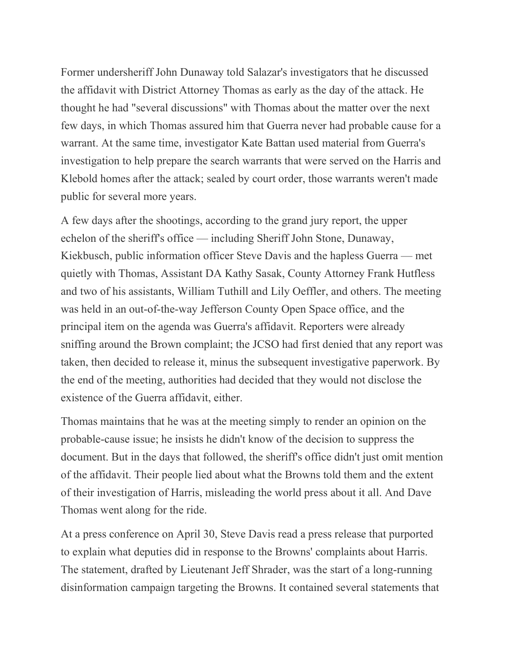Former undersheriff John Dunaway told Salazar's investigators that he discussed the affidavit with District Attorney Thomas as early as the day of the attack. He thought he had "several discussions" with Thomas about the matter over the next few days, in which Thomas assured him that Guerra never had probable cause for a warrant. At the same time, investigator Kate Battan used material from Guerra's investigation to help prepare the search warrants that were served on the Harris and Klebold homes after the attack; sealed by court order, those warrants weren't made public for several more years.

A few days after the shootings, according to the grand jury report, the upper echelon of the sheriff's office — including Sheriff John Stone, Dunaway, Kiekbusch, public information officer Steve Davis and the hapless Guerra — met quietly with Thomas, Assistant DA Kathy Sasak, County Attorney Frank Hutfless and two of his assistants, William Tuthill and Lily Oeffler, and others. The meeting was held in an out-of-the-way Jefferson County Open Space office, and the principal item on the agenda was Guerra's affidavit. Reporters were already sniffing around the Brown complaint; the JCSO had first denied that any report was taken, then decided to release it, minus the subsequent investigative paperwork. By the end of the meeting, authorities had decided that they would not disclose the existence of the Guerra affidavit, either.

Thomas maintains that he was at the meeting simply to render an opinion on the probable-cause issue; he insists he didn't know of the decision to suppress the document. But in the days that followed, the sheriff's office didn't just omit mention of the affidavit. Their people lied about what the Browns told them and the extent of their investigation of Harris, misleading the world press about it all. And Dave Thomas went along for the ride.

At a press conference on April 30, Steve Davis read a press release that purported to explain what deputies did in response to the Browns' complaints about Harris. The statement, drafted by Lieutenant Jeff Shrader, was the start of a long-running disinformation campaign targeting the Browns. It contained several statements that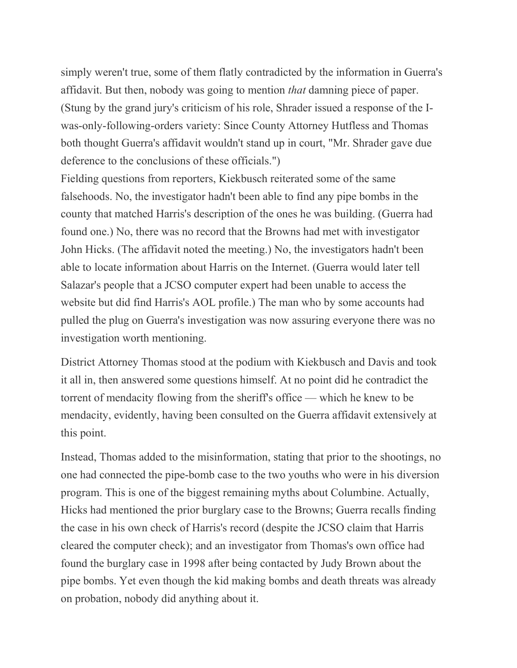simply weren't true, some of them flatly contradicted by the information in Guerra's affidavit. But then, nobody was going to mention *that* damning piece of paper. (Stung by the grand jury's criticism of his role, Shrader issued a response of the Iwas-only-following-orders variety: Since County Attorney Hutfless and Thomas both thought Guerra's affidavit wouldn't stand up in court, "Mr. Shrader gave due deference to the conclusions of these officials.")

Fielding questions from reporters, Kiekbusch reiterated some of the same falsehoods. No, the investigator hadn't been able to find any pipe bombs in the county that matched Harris's description of the ones he was building. (Guerra had found one.) No, there was no record that the Browns had met with investigator John Hicks. (The affidavit noted the meeting.) No, the investigators hadn't been able to locate information about Harris on the Internet. (Guerra would later tell Salazar's people that a JCSO computer expert had been unable to access the website but did find Harris's AOL profile.) The man who by some accounts had pulled the plug on Guerra's investigation was now assuring everyone there was no investigation worth mentioning.

District Attorney Thomas stood at the podium with Kiekbusch and Davis and took it all in, then answered some questions himself. At no point did he contradict the torrent of mendacity flowing from the sheriff's office — which he knew to be mendacity, evidently, having been consulted on the Guerra affidavit extensively at this point.

Instead, Thomas added to the misinformation, stating that prior to the shootings, no one had connected the pipe-bomb case to the two youths who were in his diversion program. This is one of the biggest remaining myths about Columbine. Actually, Hicks had mentioned the prior burglary case to the Browns; Guerra recalls finding the case in his own check of Harris's record (despite the JCSO claim that Harris cleared the computer check); and an investigator from Thomas's own office had found the burglary case in 1998 after being contacted by Judy Brown about the pipe bombs. Yet even though the kid making bombs and death threats was already on probation, nobody did anything about it.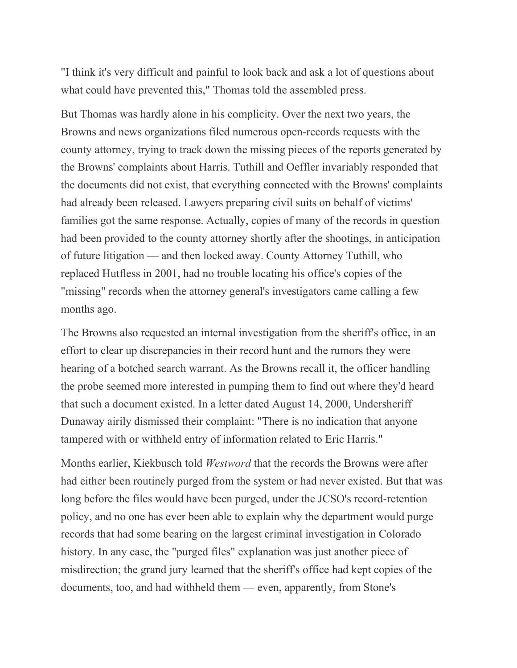"I think it's very difficult and painful to look back and ask a lot of questions about what could have prevented this," Thomas told the assembled press.

But Thomas was hardly alone in his complicity. Over the next two years, the Browns and news organizations filed numerous open-records requests with the county attorney, trying to track down the missing pieces of the reports generated by the Browns' complaints about Harris. Tuthill and Oeffler invariably responded that the documents did not exist, that everything connected with the Browns' complaints had already been released. Lawyers preparing civil suits on behalf of victims' families got the same response. Actually, copies of many of the records in question had been provided to the county attorney shortly after the shootings, in anticipation of future litigation — and then locked away. County Attorney Tuthill, who replaced Hutfless in 2001, had no trouble locating his office's copies of the "missing" records when the attorney general's investigators came calling a few months ago.

The Browns also requested an internal investigation from the sheriff's office, in an effort to clear up discrepancies in their record hunt and the rumors they were hearing of a botched search warrant. As the Browns recall it, the officer handling the probe seemed more interested in pumping them to find out where they'd heard that such a document existed. In a letter dated August 14, 2000, Undersheriff Dunaway airily dismissed their complaint: "There is no indication that anyone tampered with or withheld entry of information related to Eric Harris."

Months earlier, Kiekbusch told *Westword* that the records the Browns were after had either been routinely purged from the system or had never existed. But that was long before the files would have been purged, under the JCSO's record-retention policy, and no one has ever been able to explain why the department would purge records that had some bearing on the largest criminal investigation in Colorado history. In any case, the "purged files" explanation was just another piece of misdirection; the grand jury learned that the sheriff's office had kept copies of the documents, too, and had withheld them — even, apparently, from Stone's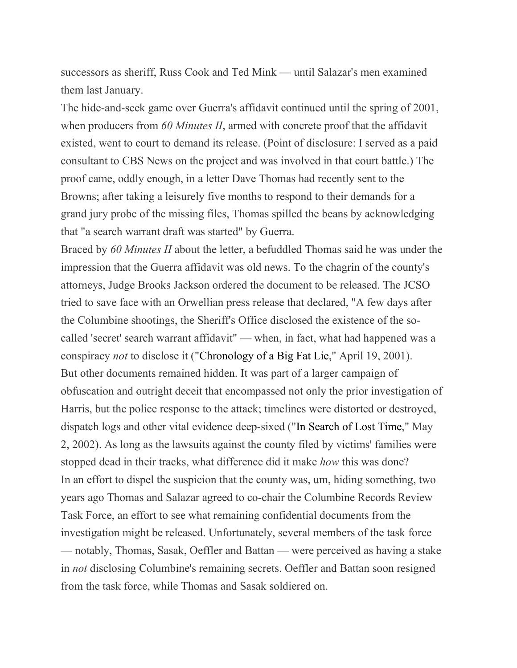successors as sheriff, Russ Cook and Ted Mink — until Salazar's men examined them last January.

The hide-and-seek game over Guerra's affidavit continued until the spring of 2001, when producers from *60 Minutes II*, armed with concrete proof that the affidavit existed, went to court to demand its release. (Point of disclosure: I served as a paid consultant to CBS News on the project and was involved in that court battle.) The proof came, oddly enough, in a letter Dave Thomas had recently sent to the Browns; after taking a leisurely five months to respond to their demands for a grand jury probe of the missing files, Thomas spilled the beans by acknowledging that "a search warrant draft was started" by Guerra.

Braced by *60 Minutes II* about the letter, a befuddled Thomas said he was under the impression that the Guerra affidavit was old news. To the chagrin of the county's attorneys, Judge Brooks Jackson ordered the document to be released. The JCSO tried to save face with an Orwellian press release that declared, "A few days after the Columbine shootings, the Sheriff's Office disclosed the existence of the socalled 'secret' search warrant affidavit" — when, in fact, what had happened was a conspiracy *not* to disclose it (["Chronology](https://www.westword.com/issues/2001-04-19/news/news2.html) of a Big Fat Lie," April 19, 2001). But other documents remained hidden. It was part of a larger campaign of obfuscation and outright deceit that encompassed not only the prior investigation of Harris, but the police response to the attack; timelines were distorted or destroyed, dispatch logs and other vital evidence deep-sixed ("In [Search](https://www.westword.com/issues/2002-05-02/news/news.html) of Lost Time," May 2, 2002). As long as the lawsuits against the county filed by victims' families were stopped dead in their tracks, what difference did it make *how* this was done? In an effort to dispel the suspicion that the county was, um, hiding something, two years ago Thomas and Salazar agreed to co-chair the Columbine Records Review Task Force, an effort to see what remaining confidential documents from the investigation might be released. Unfortunately, several members of the task force — notably, Thomas, Sasak, Oeffler and Battan — were perceived as having a stake in *not* disclosing Columbine's remaining secrets. Oeffler and Battan soon resigned from the task force, while Thomas and Sasak soldiered on.